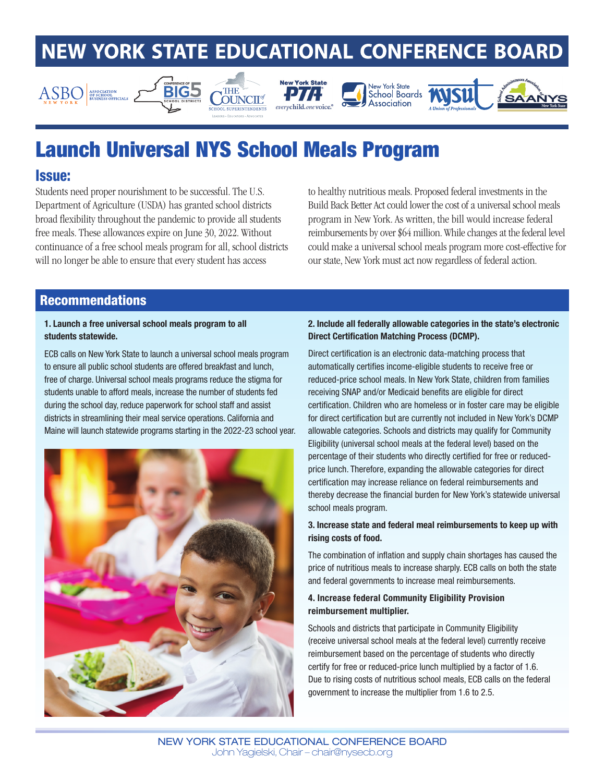# **NEW YORK STATE EDUCATIONAL CONFERENCE BOARD**











## Launch Universal NYS School Meals Program

## Issue:

Students need proper nourishment to be successful. The U.S. Department of Agriculture (USDA) has granted school districts broad flexibility throughout the pandemic to provide all students free meals. These allowances expire on June 30, 2022. Without continuance of a free school meals program for all, school districts will no longer be able to ensure that every student has access

to healthy nutritious meals. Proposed federal investments in the Build Back Better Act could lower the cost of a universal school meals program in New York. As written, the bill would increase federal reimbursements by over \$64 million. While changes at the federal level could make a universal school meals program more cost-effective for our state, New York must act now regardless of federal action.

## Recommendations

#### 1. Launch a free universal school meals program to all students statewide.

ECB calls on New York State to launch a universal school meals program to ensure all public school students are offered breakfast and lunch, free of charge. Universal school meals programs reduce the stigma for students unable to afford meals, increase the number of students fed during the school day, reduce paperwork for school staff and assist districts in streamlining their meal service operations. California and Maine will launch statewide programs starting in the 2022-23 school year.



#### 2. Include all federally allowable categories in the state's electronic Direct Certification Matching Process (DCMP).

Direct certification is an electronic data-matching process that automatically certifies income-eligible students to receive free or reduced-price school meals. In New York State, children from families receiving SNAP and/or Medicaid benefits are eligible for direct certification. Children who are homeless or in foster care may be eligible for direct certification but are currently not included in New York's DCMP allowable categories. Schools and districts may qualify for Community Eligibility (universal school meals at the federal level) based on the percentage of their students who directly certified for free or reducedprice lunch. Therefore, expanding the allowable categories for direct certification may increase reliance on federal reimbursements and thereby decrease the financial burden for New York's statewide universal school meals program.

### 3. Increase state and federal meal reimbursements to keep up with rising costs of food.

The combination of inflation and supply chain shortages has caused the price of nutritious meals to increase sharply. ECB calls on both the state and federal governments to increase meal reimbursements.

#### 4. Increase federal Community Eligibility Provision reimbursement multiplier.

Schools and districts that participate in Community Eligibility (receive universal school meals at the federal level) currently receive reimbursement based on the percentage of students who directly certify for free or reduced-price lunch multiplied by a factor of 1.6. Due to rising costs of nutritious school meals, ECB calls on the federal government to increase the multiplier from 1.6 to 2.5.